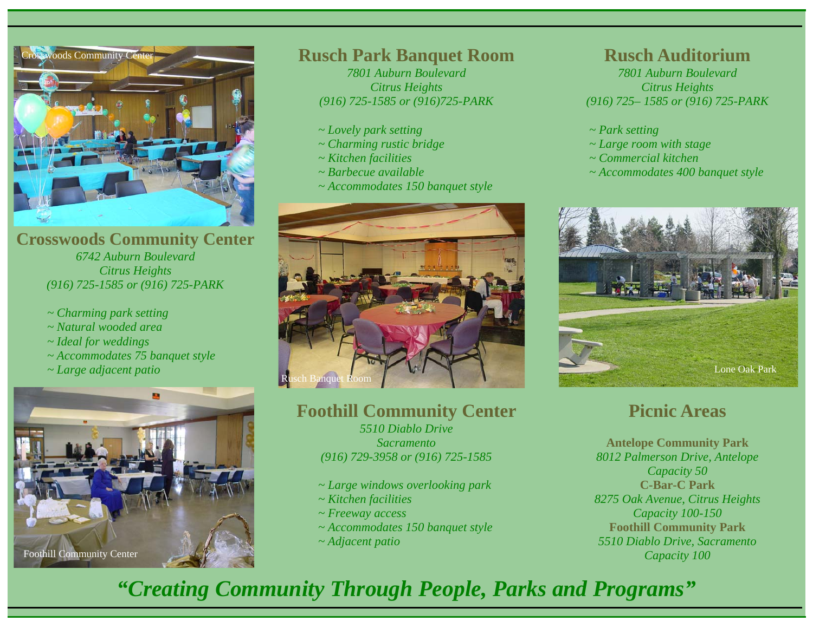

**Crosswoods Community Center**  *6742 Auburn Boulevard Citrus Heights (916) 725-1585 or (916) 725-PARK* 

- *~ Charming park setting*
- *~ Natural wooded area*
- *~ Ideal for weddings*
- *~ Accommodates 75 banquet style*
- *~ Large adjacent patio*



#### **Rusch Park Banquet Room**

*7801 Auburn Boulevard Citrus Heights (916) 725-1585 or (916)725-PARK* 

- *~ Lovely park setting*
- *~ Charming rustic bridge*
- *~ Kitchen facilities*
- *~ Barbecue available*
- *~ Accommodates 150 banquet style*



### **Foothill Community Center**  *5510 Diablo Drive*

*Sacramento (916) 729-3958 or (916) 725-1585* 

- *~ Large windows overlooking park*
- *~ Kitchen facilities*
- *~ Freeway access*
- *~ Accommodates 150 banquet style*
- *~ Adjacent patio*

#### **Rusch Auditorium**

*7801 Auburn Boulevard Citrus Heights (916) 725– 1585 or (916) 725-PARK* 

- *~ Park setting*
- *~ Large room with stage*
- *~ Commercial kitchen*
- *~ Accommodates 400 banquet style*



## **Picnic Areas**

**Antelope Community Park**  *8012 Palmerson Drive, Antelope Capacity 50*  **C-Bar-C Park** *8275 Oak Avenue, Citrus Heights Capacity 100-150*  **Foothill Community Park**  *5510 Diablo Drive, Sacramento Capacity 100* 

*"Creating Community Through People, Parks and Programs"*